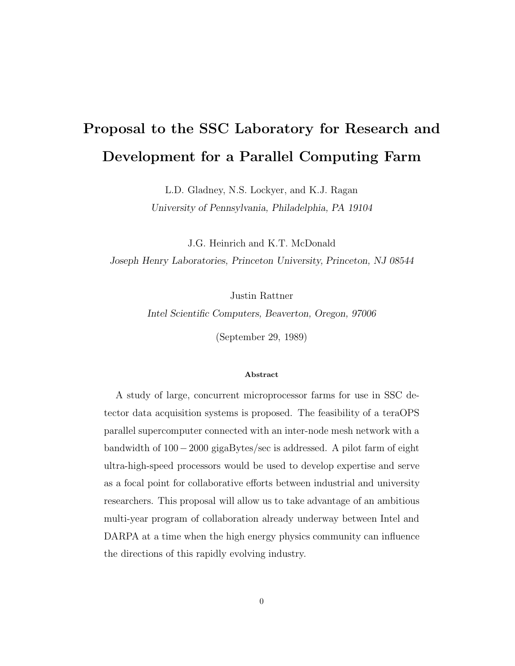# **Proposal to the SSC Laboratory for Research and Development for a Parallel Computing Farm**

L.D. Gladney, N.S. Lockyer, and K.J. Ragan

*University of Pennsylvania, Philadelphia, PA 19104*

J.G. Heinrich and K.T. McDonald *Joseph Henry Laboratories, Princeton University, Princeton, NJ 08544*

Justin Rattner

*Intel Scientific Computers, Beaverton, Oregon, 97006*

(September 29, 1989)

#### **Abstract**

A study of large, concurrent microprocessor farms for use in SSC detector data acquisition systems is proposed. The feasibility of a teraOPS parallel supercomputer connected with an inter-node mesh network with a bandwidth of 100−2000 gigaBytes/sec is addressed. A pilot farm of eight ultra-high-speed processors would be used to develop expertise and serve as a focal point for collaborative efforts between industrial and university researchers. This proposal will allow us to take advantage of an ambitious multi-year program of collaboration already underway between Intel and DARPA at a time when the high energy physics community can influence the directions of this rapidly evolving industry.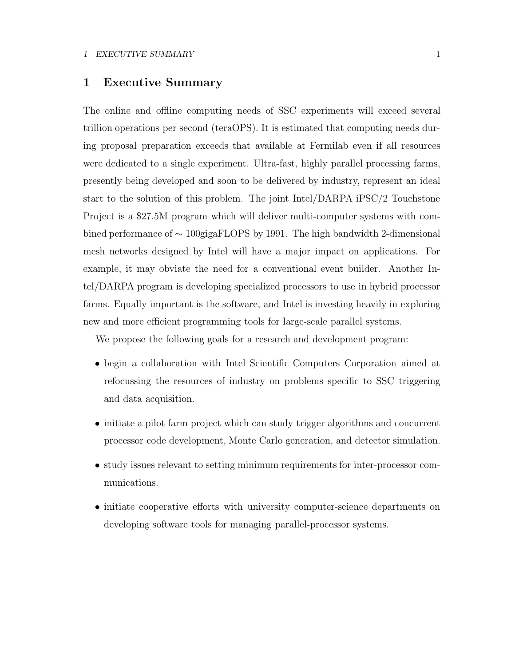### **1 Executive Summary**

The online and offline computing needs of SSC experiments will exceed several trillion operations per second (teraOPS). It is estimated that computing needs during proposal preparation exceeds that available at Fermilab even if all resources were dedicated to a single experiment. Ultra-fast, highly parallel processing farms, presently being developed and soon to be delivered by industry, represent an ideal start to the solution of this problem. The joint Intel/DARPA iPSC/2 Touchstone Project is a \$27.5M program which will deliver multi-computer systems with combined performance of ∼ 100gigaFLOPS by 1991. The high bandwidth 2-dimensional mesh networks designed by Intel will have a major impact on applications. For example, it may obviate the need for a conventional event builder. Another Intel/DARPA program is developing specialized processors to use in hybrid processor farms. Equally important is the software, and Intel is investing heavily in exploring new and more efficient programming tools for large-scale parallel systems.

We propose the following goals for a research and development program:

- begin a collaboration with Intel Scientific Computers Corporation aimed at refocussing the resources of industry on problems specific to SSC triggering and data acquisition.
- initiate a pilot farm project which can study trigger algorithms and concurrent processor code development, Monte Carlo generation, and detector simulation.
- study issues relevant to setting minimum requirements for inter-processor communications.
- initiate cooperative efforts with university computer-science departments on developing software tools for managing parallel-processor systems.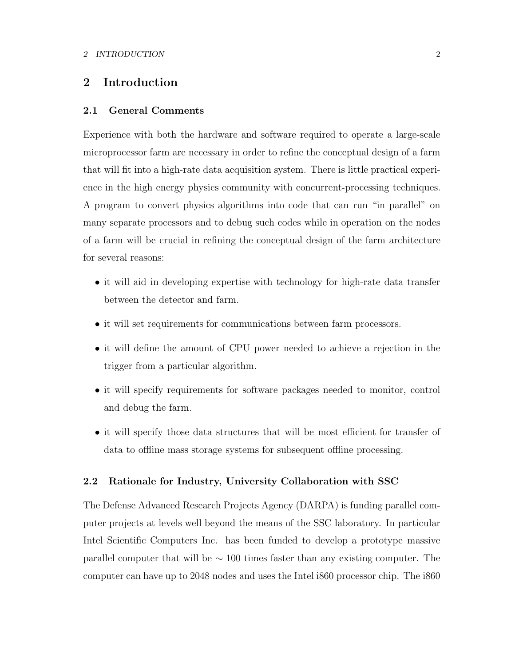### **2 Introduction**

### **2.1 General Comments**

Experience with both the hardware and software required to operate a large-scale microprocessor farm are necessary in order to refine the conceptual design of a farm that will fit into a high-rate data acquisition system. There is little practical experience in the high energy physics community with concurrent-processing techniques. A program to convert physics algorithms into code that can run "in parallel" on many separate processors and to debug such codes while in operation on the nodes of a farm will be crucial in refining the conceptual design of the farm architecture for several reasons:

- it will aid in developing expertise with technology for high-rate data transfer between the detector and farm.
- it will set requirements for communications between farm processors.
- it will define the amount of CPU power needed to achieve a rejection in the trigger from a particular algorithm.
- it will specify requirements for software packages needed to monitor, control and debug the farm.
- it will specify those data structures that will be most efficient for transfer of data to offline mass storage systems for subsequent offline processing.

### **2.2 Rationale for Industry, University Collaboration with SSC**

The Defense Advanced Research Projects Agency (DARPA) is funding parallel computer projects at levels well beyond the means of the SSC laboratory. In particular Intel Scientific Computers Inc. has been funded to develop a prototype massive parallel computer that will be ∼ 100 times faster than any existing computer. The computer can have up to 2048 nodes and uses the Intel i860 processor chip. The i860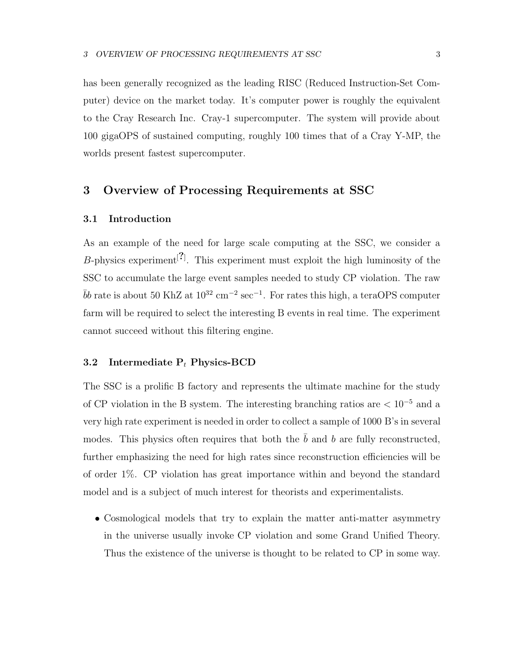has been generally recognized as the leading RISC (Reduced Instruction-Set Computer) device on the market today. It's computer power is roughly the equivalent to the Cray Research Inc. Cray-1 supercomputer. The system will provide about 100 gigaOPS of sustained computing, roughly 100 times that of a Cray Y-MP, the worlds present fastest supercomputer.

### **3 Overview of Processing Requirements at SSC**

### **3.1 Introduction**

As an example of the need for large scale computing at the SSC, we consider a B-physics experiment[**?**] . This experiment must exploit the high luminosity of the SSC to accumulate the large event samples needed to study CP violation. The raw  $\bar{b}b$  rate is about 50 KhZ at  $10^{32}$  cm<sup>−2</sup> sec<sup>−1</sup>. For rates this high, a teraOPS computer farm will be required to select the interesting B events in real time. The experiment cannot succeed without this filtering engine.

### **3.2 Intermediate P***<sup>t</sup>* **Physics-BCD**

The SSC is a prolific B factory and represents the ultimate machine for the study of CP violation in the B system. The interesting branching ratios are < 10*−*<sup>5</sup> and a very high rate experiment is needed in order to collect a sample of 1000 B's in several modes. This physics often requires that both the  $\bar{b}$  and b are fully reconstructed, further emphasizing the need for high rates since reconstruction efficiencies will be of order 1%. CP violation has great importance within and beyond the standard model and is a subject of much interest for theorists and experimentalists.

• Cosmological models that try to explain the matter anti-matter asymmetry in the universe usually invoke CP violation and some Grand Unified Theory. Thus the existence of the universe is thought to be related to CP in some way.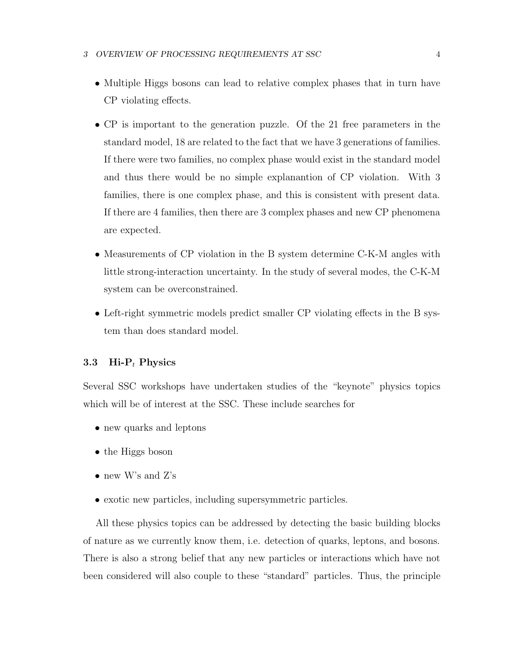- Multiple Higgs bosons can lead to relative complex phases that in turn have CP violating effects.
- CP is important to the generation puzzle. Of the 21 free parameters in the standard model, 18 are related to the fact that we have 3 generations of families. If there were two families, no complex phase would exist in the standard model and thus there would be no simple explanantion of CP violation. With 3 families, there is one complex phase, and this is consistent with present data. If there are 4 families, then there are 3 complex phases and new CP phenomena are expected.
- Measurements of CP violation in the B system determine C-K-M angles with little strong-interaction uncertainty. In the study of several modes, the C-K-M system can be overconstrained.
- Left-right symmetric models predict smaller CP violating effects in the B system than does standard model.

### **3.3 Hi-P***<sup>t</sup>* **Physics**

Several SSC workshops have undertaken studies of the "keynote" physics topics which will be of interest at the SSC. These include searches for

- new quarks and leptons
- the Higgs boson
- new W's and Z's
- exotic new particles, including supersymmetric particles.

All these physics topics can be addressed by detecting the basic building blocks of nature as we currently know them, i.e. detection of quarks, leptons, and bosons. There is also a strong belief that any new particles or interactions which have not been considered will also couple to these "standard" particles. Thus, the principle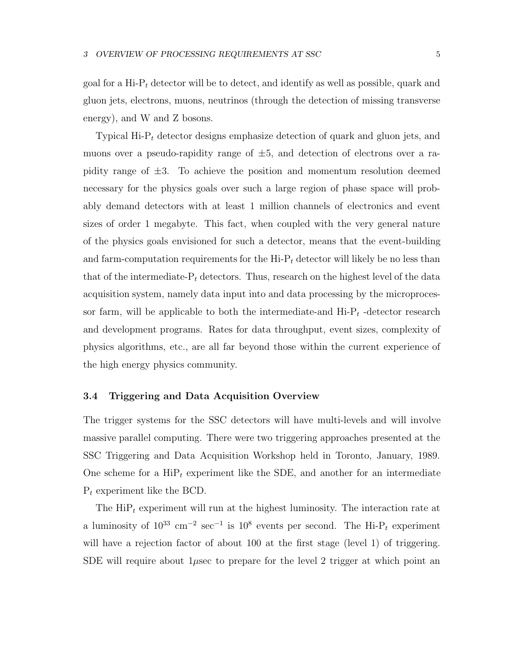goal for a Hi-P*<sup>t</sup>* detector will be to detect, and identify as well as possible, quark and gluon jets, electrons, muons, neutrinos (through the detection of missing transverse energy), and W and Z bosons.

Typical Hi-P*<sup>t</sup>* detector designs emphasize detection of quark and gluon jets, and muons over a pseudo-rapidity range of  $\pm 5$ , and detection of electrons over a rapidity range of  $\pm 3$ . To achieve the position and momentum resolution deemed necessary for the physics goals over such a large region of phase space will probably demand detectors with at least 1 million channels of electronics and event sizes of order 1 megabyte. This fact, when coupled with the very general nature of the physics goals envisioned for such a detector, means that the event-building and farm-computation requirements for the  $\mathrm{Hi-P}_t$  detector will likely be no less than that of the intermediate- $P_t$  detectors. Thus, research on the highest level of the data acquisition system, namely data input into and data processing by the microprocessor farm, will be applicable to both the intermediate-and  $\text{Hi-P}_t$ -detector research and development programs. Rates for data throughput, event sizes, complexity of physics algorithms, etc., are all far beyond those within the current experience of the high energy physics community.

### **3.4 Triggering and Data Acquisition Overview**

The trigger systems for the SSC detectors will have multi-levels and will involve massive parallel computing. There were two triggering approaches presented at the SSC Triggering and Data Acquisition Workshop held in Toronto, January, 1989. One scheme for a  $\text{HiP}_t$  experiment like the SDE, and another for an intermediate P*<sup>t</sup>* experiment like the BCD.

The  $\text{HiP}_t$  experiment will run at the highest luminosity. The interaction rate at a luminosity of 10<sup>33</sup> cm*−*<sup>2</sup> sec*−*<sup>1</sup> is 10<sup>8</sup> events per second. The Hi-P*<sup>t</sup>* experiment will have a rejection factor of about 100 at the first stage (level 1) of triggering. SDE will require about  $1\mu$ sec to prepare for the level 2 trigger at which point an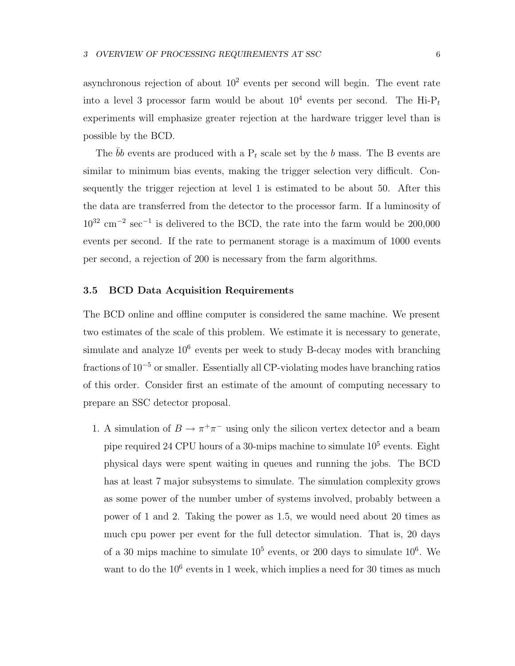asynchronous rejection of about  $10^2$  events per second will begin. The event rate into a level 3 processor farm would be about  $10^4$  events per second. The Hi-P<sub>t</sub> experiments will emphasize greater rejection at the hardware trigger level than is possible by the BCD.

The  $\overline{b}b$  events are produced with a  $P_t$  scale set by the b mass. The B events are similar to minimum bias events, making the trigger selection very difficult. Consequently the trigger rejection at level 1 is estimated to be about 50. After this the data are transferred from the detector to the processor farm. If a luminosity of 10<sup>32</sup> cm*−*<sup>2</sup> sec*−*<sup>1</sup> is delivered to the BCD, the rate into the farm would be 200,000 events per second. If the rate to permanent storage is a maximum of 1000 events per second, a rejection of 200 is necessary from the farm algorithms.

### **3.5 BCD Data Acquisition Requirements**

The BCD online and offline computer is considered the same machine. We present two estimates of the scale of this problem. We estimate it is necessary to generate, simulate and analyze  $10^6$  events per week to study B-decay modes with branching fractions of 10*−*<sup>5</sup> or smaller. Essentially all CP-violating modes have branching ratios of this order. Consider first an estimate of the amount of computing necessary to prepare an SSC detector proposal.

1. A simulation of  $B \to \pi^+\pi^-$  using only the silicon vertex detector and a beam pipe required 24 CPU hours of a 30-mips machine to simulate 10<sup>5</sup> events. Eight physical days were spent waiting in queues and running the jobs. The BCD has at least 7 major subsystems to simulate. The simulation complexity grows as some power of the number umber of systems involved, probably between a power of 1 and 2. Taking the power as 1.5, we would need about 20 times as much cpu power per event for the full detector simulation. That is, 20 days of a 30 mips machine to simulate  $10^5$  events, or 200 days to simulate  $10^6$ . We want to do the  $10^6$  events in 1 week, which implies a need for 30 times as much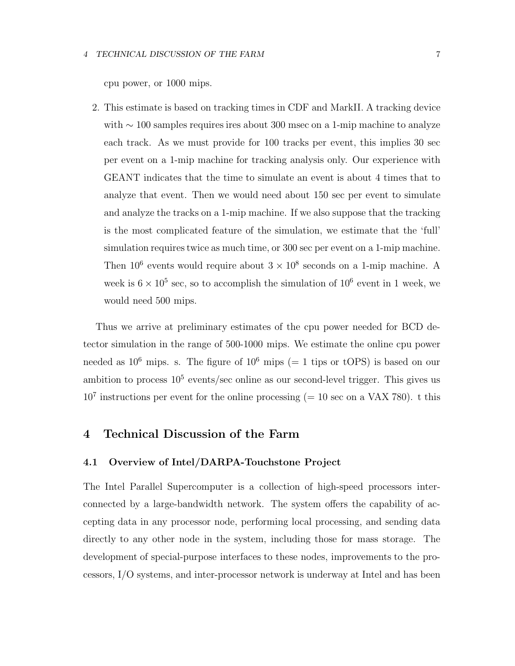cpu power, or 1000 mips.

2. This estimate is based on tracking times in CDF and MarkII. A tracking device with ∼ 100 samples requires ires about 300 msec on a 1-mip machine to analyze each track. As we must provide for 100 tracks per event, this implies 30 sec per event on a 1-mip machine for tracking analysis only. Our experience with GEANT indicates that the time to simulate an event is about 4 times that to analyze that event. Then we would need about 150 sec per event to simulate and analyze the tracks on a 1-mip machine. If we also suppose that the tracking is the most complicated feature of the simulation, we estimate that the 'full' simulation requires twice as much time, or 300 sec per event on a 1-mip machine. Then  $10^6$  events would require about  $3 \times 10^8$  seconds on a 1-mip machine. A week is  $6 \times 10^5$  sec, so to accomplish the simulation of  $10^6$  event in 1 week, we would need 500 mips.

Thus we arrive at preliminary estimates of the cpu power needed for BCD detector simulation in the range of 500-1000 mips. We estimate the online cpu power needed as  $10^6$  mips. s. The figure of  $10^6$  mips (= 1 tips or tOPS) is based on our ambition to process  $10^5$  events/sec online as our second-level trigger. This gives us  $10^7$  instructions per event for the online processing (= 10 sec on a VAX 780). t this

### **4 Technical Discussion of the Farm**

### **4.1 Overview of Intel/DARPA-Touchstone Project**

The Intel Parallel Supercomputer is a collection of high-speed processors interconnected by a large-bandwidth network. The system offers the capability of accepting data in any processor node, performing local processing, and sending data directly to any other node in the system, including those for mass storage. The development of special-purpose interfaces to these nodes, improvements to the processors, I/O systems, and inter-processor network is underway at Intel and has been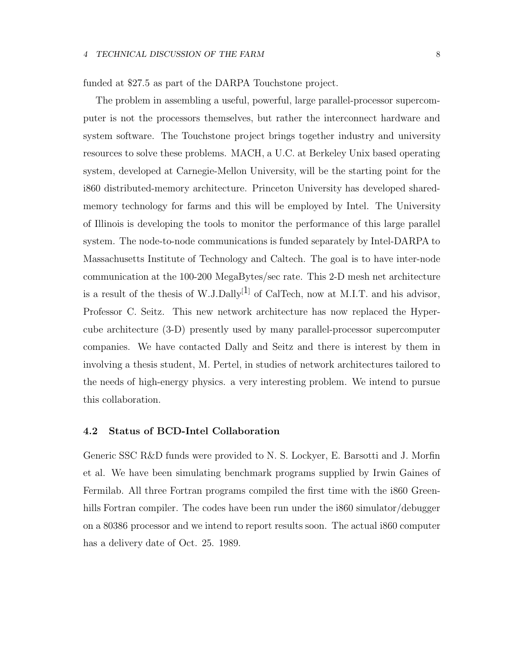funded at \$27.5 as part of the DARPA Touchstone project.

The problem in assembling a useful, powerful, large parallel-processor supercomputer is not the processors themselves, but rather the interconnect hardware and system software. The Touchstone project brings together industry and university resources to solve these problems. MACH, a U.C. at Berkeley Unix based operating system, developed at Carnegie-Mellon University, will be the starting point for the i860 distributed-memory architecture. Princeton University has developed sharedmemory technology for farms and this will be employed by Intel. The University of Illinois is developing the tools to monitor the performance of this large parallel system. The node-to-node communications is funded separately by Intel-DARPA to Massachusetts Institute of Technology and Caltech. The goal is to have inter-node communication at the 100-200 MegaBytes/sec rate. This 2-D mesh net architecture is a result of the thesis of W.J.Dally<sup>[1]</sup> of CalTech, now at M.I.T. and his advisor, Professor C. Seitz. This new network architecture has now replaced the Hypercube architecture (3-D) presently used by many parallel-processor supercomputer companies. We have contacted Dally and Seitz and there is interest by them in involving a thesis student, M. Pertel, in studies of network architectures tailored to the needs of high-energy physics. a very interesting problem. We intend to pursue this collaboration.

### **4.2 Status of BCD-Intel Collaboration**

Generic SSC R&D funds were provided to N. S. Lockyer, E. Barsotti and J. Morfin et al. We have been simulating benchmark programs supplied by Irwin Gaines of Fermilab. All three Fortran programs compiled the first time with the i860 Greenhills Fortran compiler. The codes have been run under the i860 simulator/debugger on a 80386 processor and we intend to report results soon. The actual i860 computer has a delivery date of Oct. 25. 1989.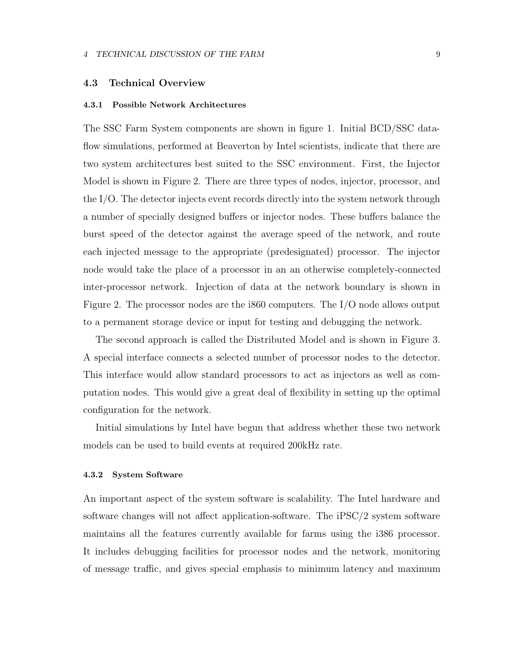### **4.3 Technical Overview**

#### **4.3.1 Possible Network Architectures**

The SSC Farm System components are shown in figure 1. Initial BCD/SSC dataflow simulations, performed at Beaverton by Intel scientists, indicate that there are two system architectures best suited to the SSC environment. First, the Injector Model is shown in Figure 2. There are three types of nodes, injector, processor, and the I/O. The detector injects event records directly into the system network through a number of specially designed buffers or injector nodes. These buffers balance the burst speed of the detector against the average speed of the network, and route each injected message to the appropriate (predesignated) processor. The injector node would take the place of a processor in an an otherwise completely-connected inter-processor network. Injection of data at the network boundary is shown in Figure 2. The processor nodes are the i860 computers. The I/O node allows output to a permanent storage device or input for testing and debugging the network.

The second approach is called the Distributed Model and is shown in Figure 3. A special interface connects a selected number of processor nodes to the detector. This interface would allow standard processors to act as injectors as well as computation nodes. This would give a great deal of flexibility in setting up the optimal configuration for the network.

Initial simulations by Intel have begun that address whether these two network models can be used to build events at required 200kHz rate.

#### **4.3.2 System Software**

An important aspect of the system software is scalability. The Intel hardware and software changes will not affect application-software. The iPSC/2 system software maintains all the features currently available for farms using the i386 processor. It includes debugging facilities for processor nodes and the network, monitoring of message traffic, and gives special emphasis to minimum latency and maximum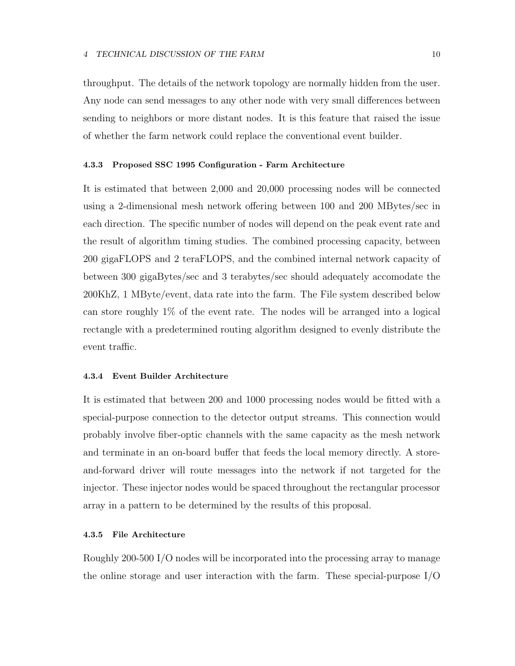throughput. The details of the network topology are normally hidden from the user. Any node can send messages to any other node with very small differences between sending to neighbors or more distant nodes. It is this feature that raised the issue of whether the farm network could replace the conventional event builder.

#### **4.3.3 Proposed SSC 1995 Configuration - Farm Architecture**

It is estimated that between 2,000 and 20,000 processing nodes will be connected using a 2-dimensional mesh network offering between 100 and 200 MBytes/sec in each direction. The specific number of nodes will depend on the peak event rate and the result of algorithm timing studies. The combined processing capacity, between 200 gigaFLOPS and 2 teraFLOPS, and the combined internal network capacity of between 300 gigaBytes/sec and 3 terabytes/sec should adequately accomodate the 200KhZ, 1 MByte/event, data rate into the farm. The File system described below can store roughly 1% of the event rate. The nodes will be arranged into a logical rectangle with a predetermined routing algorithm designed to evenly distribute the event traffic.

### **4.3.4 Event Builder Architecture**

It is estimated that between 200 and 1000 processing nodes would be fitted with a special-purpose connection to the detector output streams. This connection would probably involve fiber-optic channels with the same capacity as the mesh network and terminate in an on-board buffer that feeds the local memory directly. A storeand-forward driver will route messages into the network if not targeted for the injector. These injector nodes would be spaced throughout the rectangular processor array in a pattern to be determined by the results of this proposal.

#### **4.3.5 File Architecture**

Roughly 200-500 I/O nodes will be incorporated into the processing array to manage the online storage and user interaction with the farm. These special-purpose I/O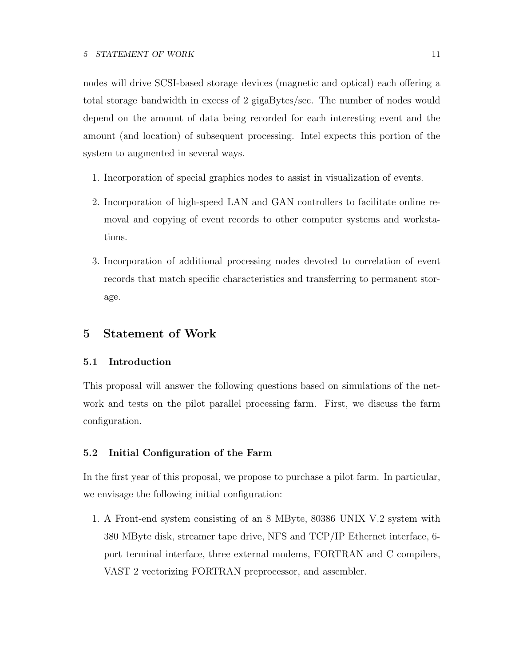nodes will drive SCSI-based storage devices (magnetic and optical) each offering a total storage bandwidth in excess of 2 gigaBytes/sec. The number of nodes would depend on the amount of data being recorded for each interesting event and the amount (and location) of subsequent processing. Intel expects this portion of the system to augmented in several ways.

- 1. Incorporation of special graphics nodes to assist in visualization of events.
- 2. Incorporation of high-speed LAN and GAN controllers to facilitate online removal and copying of event records to other computer systems and workstations.
- 3. Incorporation of additional processing nodes devoted to correlation of event records that match specific characteristics and transferring to permanent storage.

### **5 Statement of Work**

### **5.1 Introduction**

This proposal will answer the following questions based on simulations of the network and tests on the pilot parallel processing farm. First, we discuss the farm configuration.

### **5.2 Initial Configuration of the Farm**

In the first year of this proposal, we propose to purchase a pilot farm. In particular, we envisage the following initial configuration:

1. A Front-end system consisting of an 8 MByte, 80386 UNIX V.2 system with 380 MByte disk, streamer tape drive, NFS and TCP/IP Ethernet interface, 6 port terminal interface, three external modems, FORTRAN and C compilers, VAST 2 vectorizing FORTRAN preprocessor, and assembler.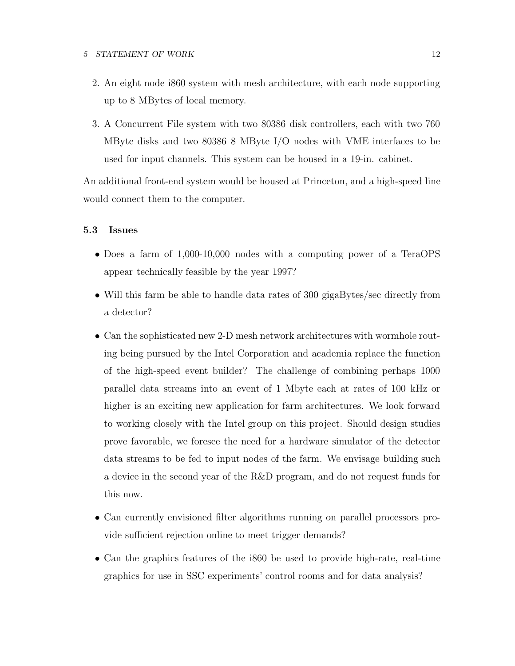- 2. An eight node i860 system with mesh architecture, with each node supporting up to 8 MBytes of local memory.
- 3. A Concurrent File system with two 80386 disk controllers, each with two 760 MByte disks and two 80386 8 MByte I/O nodes with VME interfaces to be used for input channels. This system can be housed in a 19-in. cabinet.

An additional front-end system would be housed at Princeton, and a high-speed line would connect them to the computer.

### **5.3 Issues**

- Does a farm of 1,000-10,000 nodes with a computing power of a TeraOPS appear technically feasible by the year 1997?
- Will this farm be able to handle data rates of 300 gigaBytes/sec directly from a detector?
- Can the sophisticated new 2-D mesh network architectures with wormhole routing being pursued by the Intel Corporation and academia replace the function of the high-speed event builder? The challenge of combining perhaps 1000 parallel data streams into an event of 1 Mbyte each at rates of 100 kHz or higher is an exciting new application for farm architectures. We look forward to working closely with the Intel group on this project. Should design studies prove favorable, we foresee the need for a hardware simulator of the detector data streams to be fed to input nodes of the farm. We envisage building such a device in the second year of the R&D program, and do not request funds for this now.
- Can currently envisioned filter algorithms running on parallel processors provide sufficient rejection online to meet trigger demands?
- Can the graphics features of the i860 be used to provide high-rate, real-time graphics for use in SSC experiments' control rooms and for data analysis?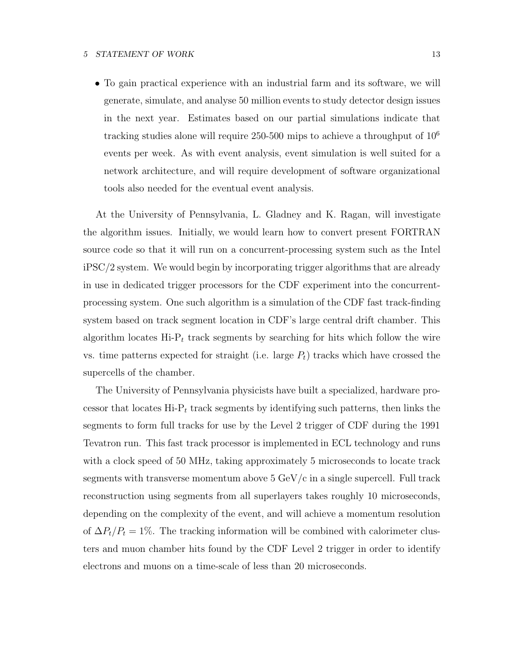#### **5 STATEMENT OF WORK** 13

• To gain practical experience with an industrial farm and its software, we will generate, simulate, and analyse 50 million events to study detector design issues in the next year. Estimates based on our partial simulations indicate that tracking studies alone will require  $250-500$  mips to achieve a throughput of  $10^6$ events per week. As with event analysis, event simulation is well suited for a network architecture, and will require development of software organizational tools also needed for the eventual event analysis.

At the University of Pennsylvania, L. Gladney and K. Ragan, will investigate the algorithm issues. Initially, we would learn how to convert present FORTRAN source code so that it will run on a concurrent-processing system such as the Intel iPSC/2 system. We would begin by incorporating trigger algorithms that are already in use in dedicated trigger processors for the CDF experiment into the concurrentprocessing system. One such algorithm is a simulation of the CDF fast track-finding system based on track segment location in CDF's large central drift chamber. This algorithm locates Hi-P*<sup>t</sup>* track segments by searching for hits which follow the wire vs. time patterns expected for straight (i.e. large  $P_t$ ) tracks which have crossed the supercells of the chamber.

The University of Pennsylvania physicists have built a specialized, hardware processor that locates  $\text{Hi-P}_t$  track segments by identifying such patterns, then links the segments to form full tracks for use by the Level 2 trigger of CDF during the 1991 Tevatron run. This fast track processor is implemented in ECL technology and runs with a clock speed of 50 MHz, taking approximately 5 microseconds to locate track segments with transverse momentum above  $5 \text{ GeV/c}$  in a single supercell. Full track reconstruction using segments from all superlayers takes roughly 10 microseconds, depending on the complexity of the event, and will achieve a momentum resolution of  $\Delta P_t/P_t = 1\%$ . The tracking information will be combined with calorimeter clusters and muon chamber hits found by the CDF Level 2 trigger in order to identify electrons and muons on a time-scale of less than 20 microseconds.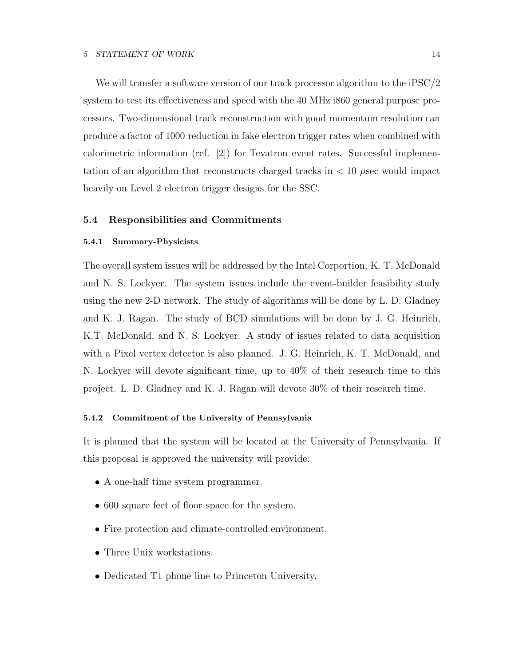We will transfer a software version of our track processor algorithm to the iPSC/2 system to test its effectiveness and speed with the 40 MHz i860 general purpose processors. Two-dimensional track reconstruction with good momentum resolution can produce a factor of 1000 reduction in fake electron trigger rates when combined with calorimetric information (ref. [2]) for Tevatron event rates. Successful implementation of an algorithm that reconstructs charged tracks in < 10 μsec would impact heavily on Level 2 electron trigger designs for the SSC.

### **5.4 Responsibilities and Commitments**

#### **5.4.1 Summary-Physicists**

The overall system issues will be addressed by the Intel Corportion, K. T. McDonald and N. S. Lockyer. The system issues include the event-builder feasibility study using the new 2-D network. The study of algorithms will be done by L. D. Gladney and K. J. Ragan. The study of BCD simulations will be done by J. G. Heinrich, K.T. McDonald, and N. S. Lockyer. A study of issues related to data acquisition with a Pixel vertex detector is also planned. J. G. Heinrich, K. T. McDonald, and N. Lockyer will devote significant time, up to 40% of their research time to this project. L. D. Gladney and K. J. Ragan will devote 30% of their research time.

### **5.4.2 Commitment of the University of Pennsylvania**

It is planned that the system will be located at the University of Pennsylvania. If this proposal is approved the university will provide:

- A one-half time system programmer.
- 600 square feet of floor space for the system.
- Fire protection and climate-controlled environment.
- Three Unix workstations.
- Dedicated T1 phone line to Princeton University.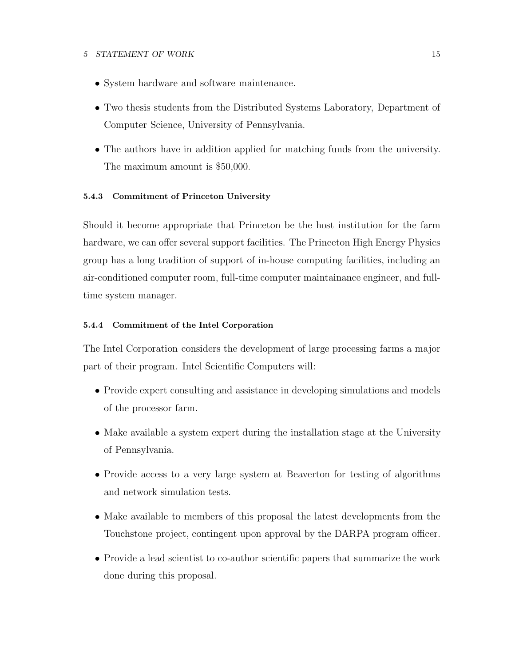### **5 STATEMENT OF WORK** 15

- System hardware and software maintenance.
- Two thesis students from the Distributed Systems Laboratory, Department of Computer Science, University of Pennsylvania.
- The authors have in addition applied for matching funds from the university. The maximum amount is \$50,000.

### **5.4.3 Commitment of Princeton University**

Should it become appropriate that Princeton be the host institution for the farm hardware, we can offer several support facilities. The Princeton High Energy Physics group has a long tradition of support of in-house computing facilities, including an air-conditioned computer room, full-time computer maintainance engineer, and fulltime system manager.

### **5.4.4 Commitment of the Intel Corporation**

The Intel Corporation considers the development of large processing farms a major part of their program. Intel Scientific Computers will:

- Provide expert consulting and assistance in developing simulations and models of the processor farm.
- Make available a system expert during the installation stage at the University of Pennsylvania.
- Provide access to a very large system at Beaverton for testing of algorithms and network simulation tests.
- Make available to members of this proposal the latest developments from the Touchstone project, contingent upon approval by the DARPA program officer.
- Provide a lead scientist to co-author scientific papers that summarize the work done during this proposal.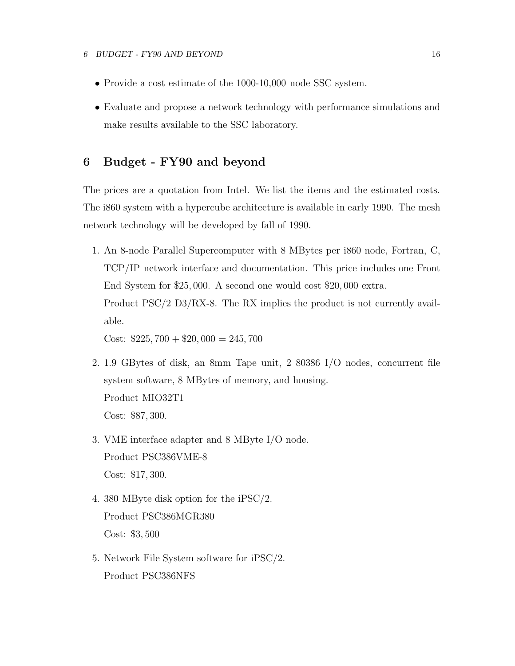- Provide a cost estimate of the 1000-10,000 node SSC system.
- Evaluate and propose a network technology with performance simulations and make results available to the SSC laboratory.

### **6 Budget - FY90 and beyond**

The prices are a quotation from Intel. We list the items and the estimated costs. The i860 system with a hypercube architecture is available in early 1990. The mesh network technology will be developed by fall of 1990.

1. An 8-node Parallel Supercomputer with 8 MBytes per i860 node, Fortran, C, TCP/IP network interface and documentation. This price includes one Front End System for \$25, 000. A second one would cost \$20, 000 extra. Product PSC/2 D3/RX-8. The RX implies the product is not currently available.

Cost:  $$225,700 + $20,000 = 245,700$ 

- 2. 1.9 GBytes of disk, an 8mm Tape unit, 2 80386 I/O nodes, concurrent file system software, 8 MBytes of memory, and housing. Product MIO32T1 Cost: \$87, 300.
- 3. VME interface adapter and 8 MByte I/O node. Product PSC386VME-8 Cost: \$17, 300.
- 4. 380 MByte disk option for the iPSC/2. Product PSC386MGR380 Cost: \$3, 500
- 5. Network File System software for iPSC/2. Product PSC386NFS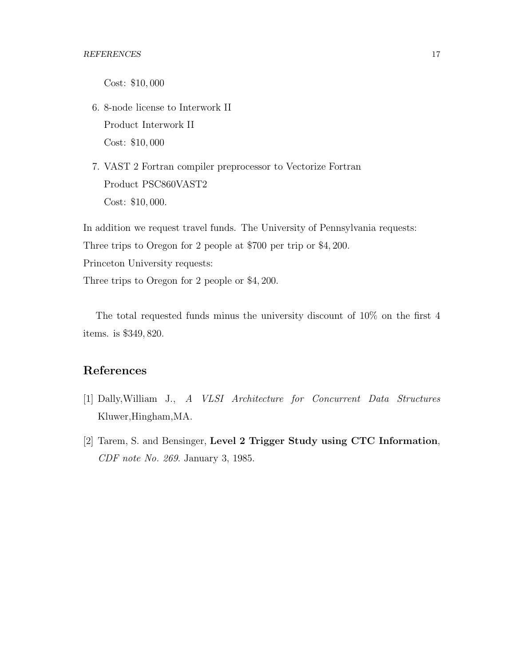Cost: \$10, 000

- 6. 8-node license to Interwork II Product Interwork II Cost: \$10, 000
- 7. VAST 2 Fortran compiler preprocessor to Vectorize Fortran Product PSC860VAST2 Cost: \$10, 000.

In addition we request travel funds. The University of Pennsylvania requests: Three trips to Oregon for 2 people at \$700 per trip or \$4, 200. Princeton University requests: Three trips to Oregon for 2 people or \$4, 200.

The total requested funds minus the university discount of 10% on the first 4 items. is \$349, 820.

### **References**

- [1] Dally,William J., *A VLSI Architecture for Concurrent Data Structures* Kluwer,Hingham,MA.
- [2] Tarem, S. and Bensinger, **Level 2 Trigger Study using CTC Information**, *CDF note No. 269*. January 3, 1985.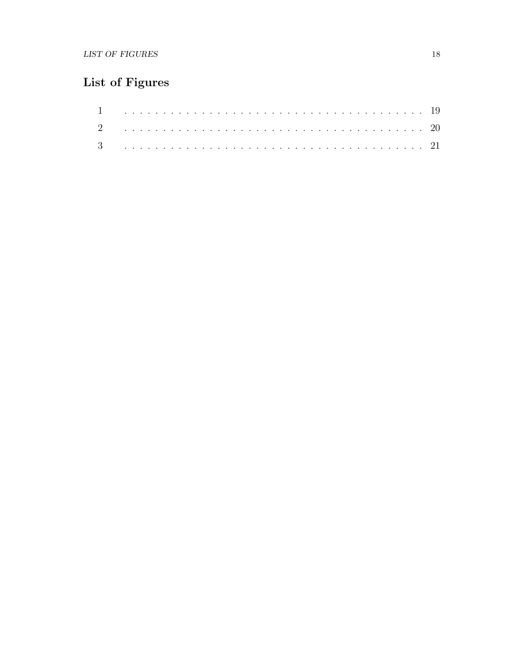## List of Figures